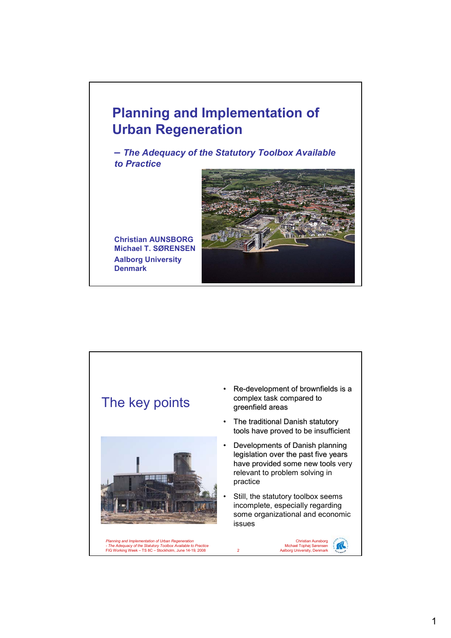### **Planning and Implementation of Urban Regeneration**

**–** *The Adequacy of the Statutory Toolbox Available to Practice*

**Christian AUNSBORG Michael T. SØRENSEN Aalborg University Denmark**

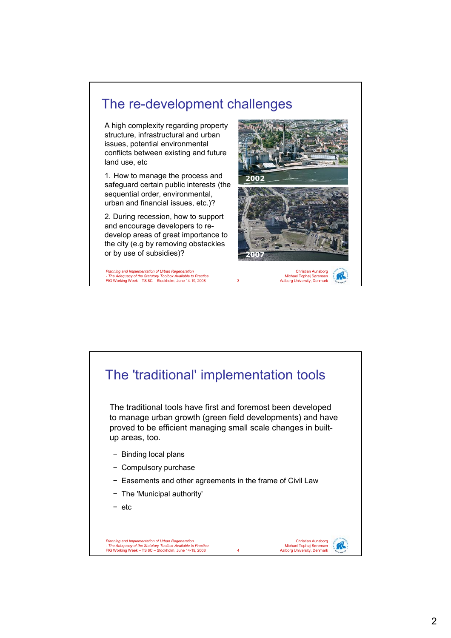

Michael Tophøj Sørensen 3 Aalborg University, Denmark

*Planning and Implementation of Urban Regeneration - The Adequacy of the Statutory Toolbox Available to Practice* FIG Working Week – TS 8C – Stockholm, June 14-19, 2008

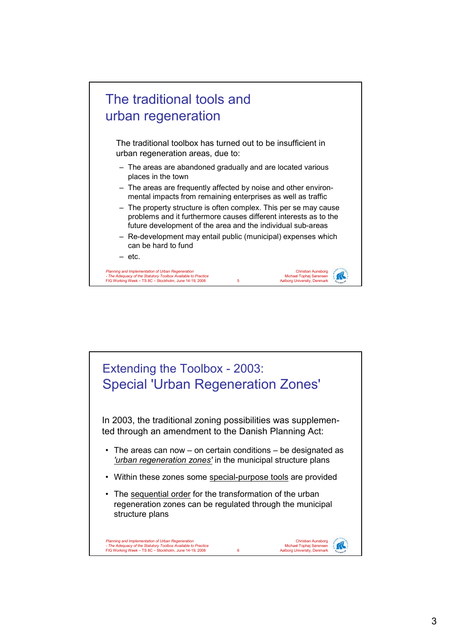

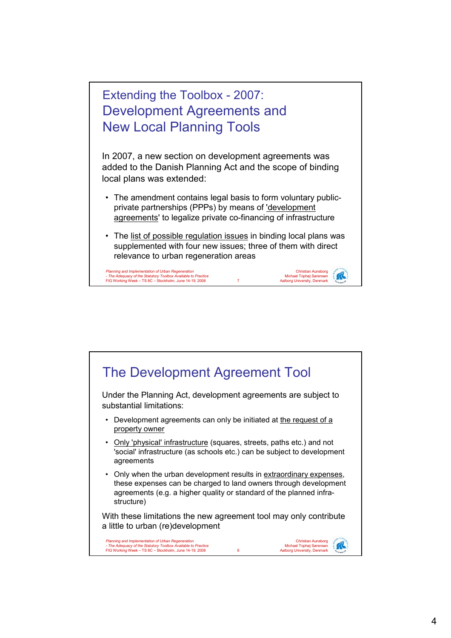

In 2007, a new section on development agreements was added to the Danish Planning Act and the scope of binding local plans was extended:

- The amendment contains legal basis to form voluntary publicprivate partnerships (PPPs) by means of 'development agreements' to legalize private co-financing of infrastructure
- The list of possible regulation issues in binding local plans was supplemented with four new issues; three of them with direct relevance to urban regeneration areas

Christian Aunsborg Michael Tophøj Sørensen 7 Aalborg University, Denmark

irc

*Planning and Implementation of Urban Regeneration - The Adequacy of the Statutory Toolbox Available to Practice* FIG Working Week – TS 8C – Stockholm, June 14-19, 2008

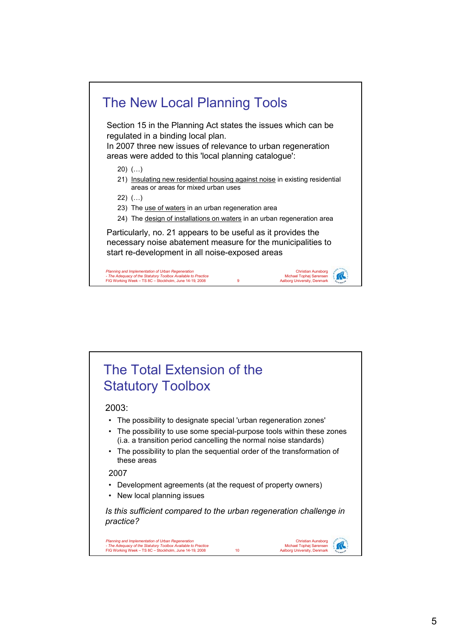

# The Total Extension of the Statutory Toolbox

#### 2003:

- The possibility to designate special 'urban regeneration zones'
- The possibility to use some special-purpose tools within these zones (i.a. a transition period cancelling the normal noise standards)
- The possibility to plan the sequential order of the transformation of these areas

### 2007

- Development agreements (at the request of property owners)
- New local planning issues

*Is this sufficient compared to the urban regeneration challenge in practice?*

Christian Aunsborg Michael Tophøj Sørensen 10 Aalborg University, Denmark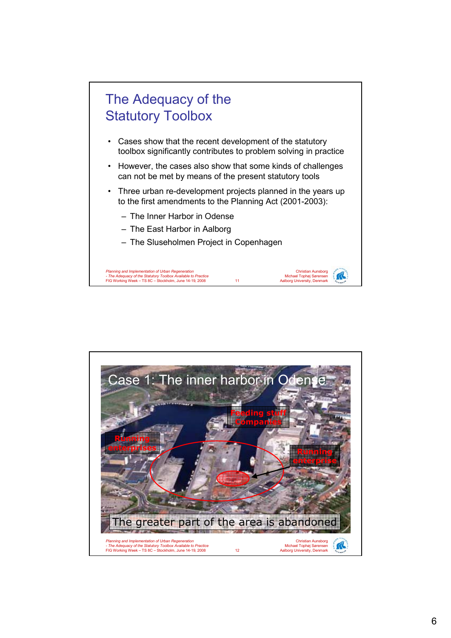

- Cases show that the recent development of the statutory toolbox significantly contributes to problem solving in practice
- However, the cases also show that some kinds of challenges can not be met by means of the present statutory tools
- Three urban re-development projects planned in the years up to the first amendments to the Planning Act (2001-2003):

Christian Aunsborg Michael Tophøj Sørensen 11 Aalborg University, Denmark

K

- The Inner Harbor in Odense
- The East Harbor in Aalborg
- The Sluseholmen Project in Copenhagen

*Planning and Implementation of Urban Regeneration - The Adequacy of the Statutory Toolbox Available to Practice* FIG Working Week – TS 8C – Stockholm, June 14-19, 2008

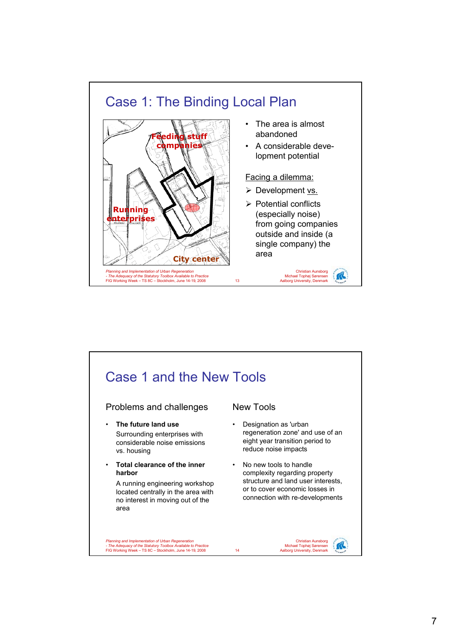

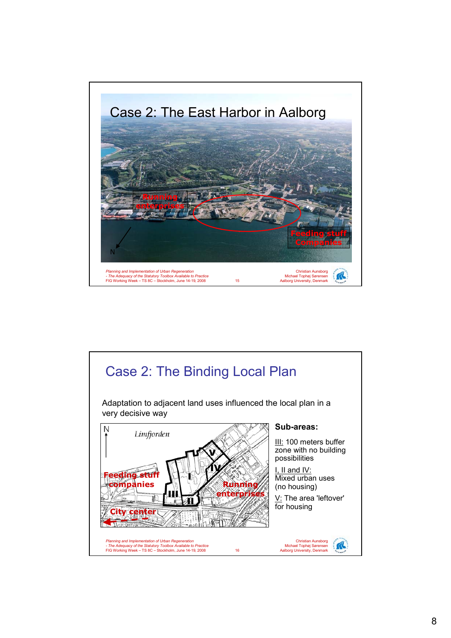

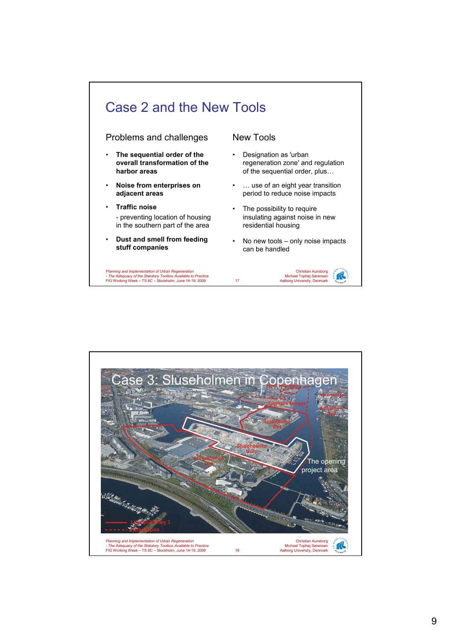

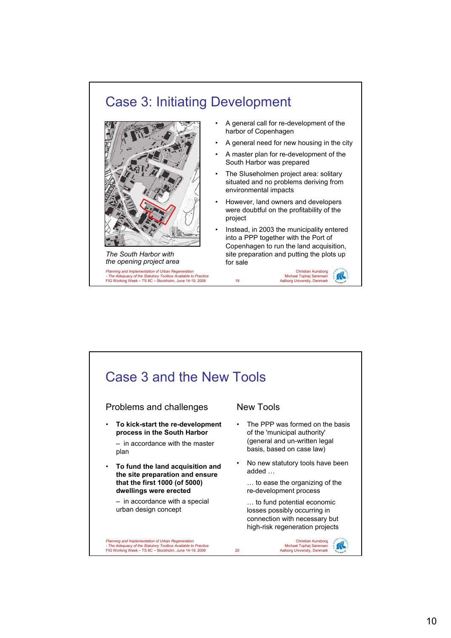## Case 3: Initiating Development



*Planning and Implementation of Urban Regeneration - The Adequacy of the Statutory Toolbox Available to Practice* FIG Working Week – TS 8C – Stockholm, June 14-19, 2008 *The South Harbor with the opening project area*

- A general call for re-development of the harbor of Copenhagen
- A general need for new housing in the city
- A master plan for re-development of the South Harbor was prepared
- The Sluseholmen project area: solitary situated and no problems deriving from environmental impacts
- However, land owners and developers were doubtful on the profitability of the project
- Instead, in 2003 the municipality entered into a PPP together with the Port of Copenhagen to run the land acquisition, site preparation and putting the plots up for sale